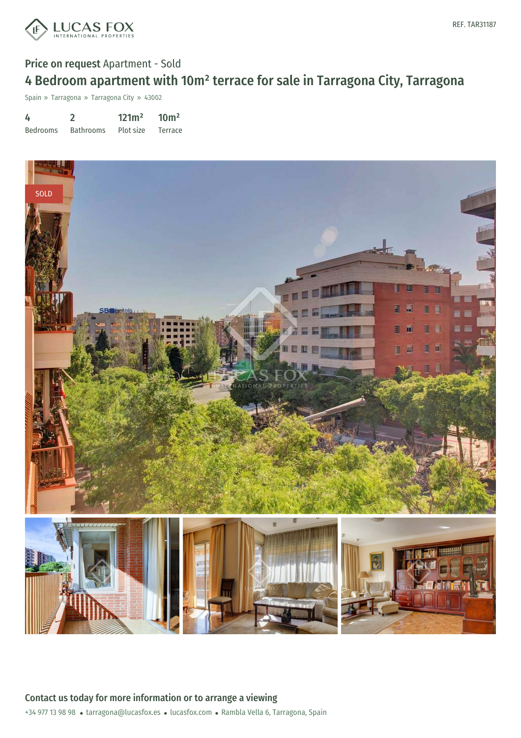

# Price on request Apartment - Sold 4 Bedroom apartment with 10m² terrace for sale in Tarragona City, Tarragona

Spain » Tarragona » Tarragona City » 43002

| 4               |                  | 121m <sup>2</sup> | 10 <sup>m²</sup> |
|-----------------|------------------|-------------------|------------------|
| <b>Bedrooms</b> | <b>Bathrooms</b> | Plot size         | Terrace          |



+34 977 13 98 98 · tarragona@lucasfox.es · lucasfox.com · Rambla Vella 6, Tarragona, Spain Contact us today for more information or to arrange a viewing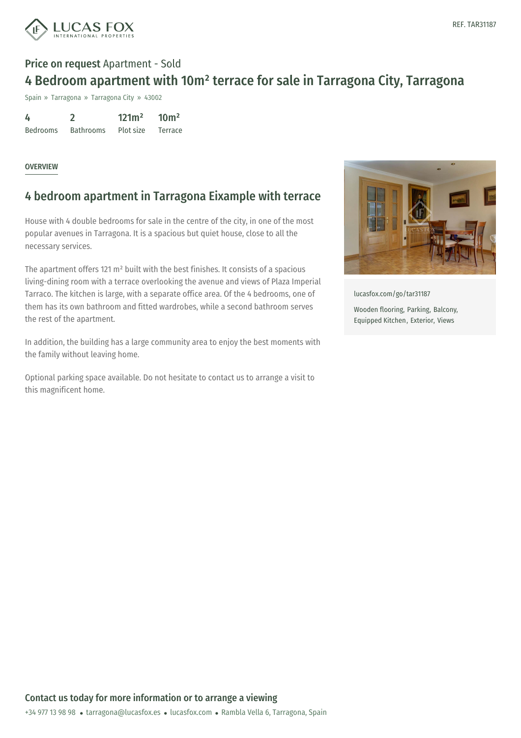

## Price on request Apartment - Sold 4 Bedroom apartment with 10m² terrace for sale in Tarragona City, Tarragona

Spain » Tarragona » Tarragona City » 43002

| 4               |                  | 121m <sup>2</sup> | 10 <sup>m²</sup> |
|-----------------|------------------|-------------------|------------------|
| <b>Bedrooms</b> | <b>Bathrooms</b> | Plot size         | Terrace          |

#### **OVERVIEW**

### 4 bedroom apartment in Tarragona Eixample with terrace

House with 4 double bedrooms for sale in the centre of the city, in one of the most popular avenues in Tarragona. It is a spacious but quiet house, close to all the necessary services.

The apartment offers 121 m² built with the best finishes. It consists of a spacious living-dining room with a terrace overlooking the avenue and views of Plaza Imperial Tarraco. The kitchen is large, with a separate office area. Of the 4 bedrooms, one of them has its own bathroom and fitted wardrobes, while a second bathroom serves the rest of the apartment.

In addition, the building has a large community area to enjoy the best moments with the family without leaving home.

Optional parking space available. Do not hesitate to contact us to arrange a visit to this magnificent home.



[lucasfox.com/go/tar31187](https://www.lucasfox.com/go/tar31187) Wooden flooring, Parking, Balcony, Equipped Kitchen, Exterior, Views